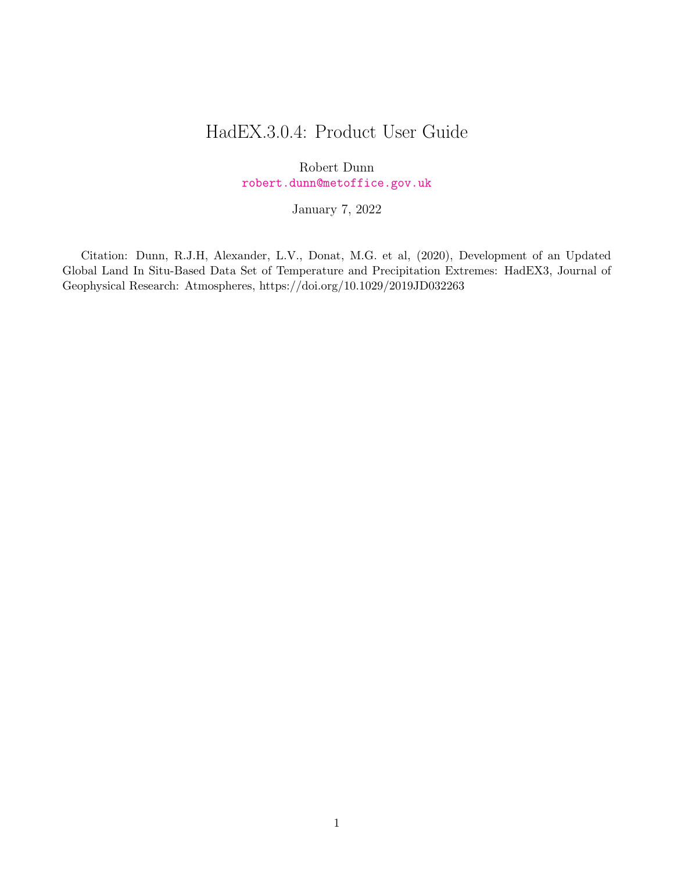# HadEX.3.0.4: Product User Guide

Robert Dunn [robert.dunn@metoffice.gov.uk](mailto:robert.dunn@metoffice.gov.uk)

January 7, 2022

Citation: Dunn, R.J.H, Alexander, L.V., Donat, M.G. et al, (2020), Development of an Updated Global Land In Situ-Based Data Set of Temperature and Precipitation Extremes: HadEX3, Journal of Geophysical Research: Atmospheres, https://doi.org/10.1029/2019JD032263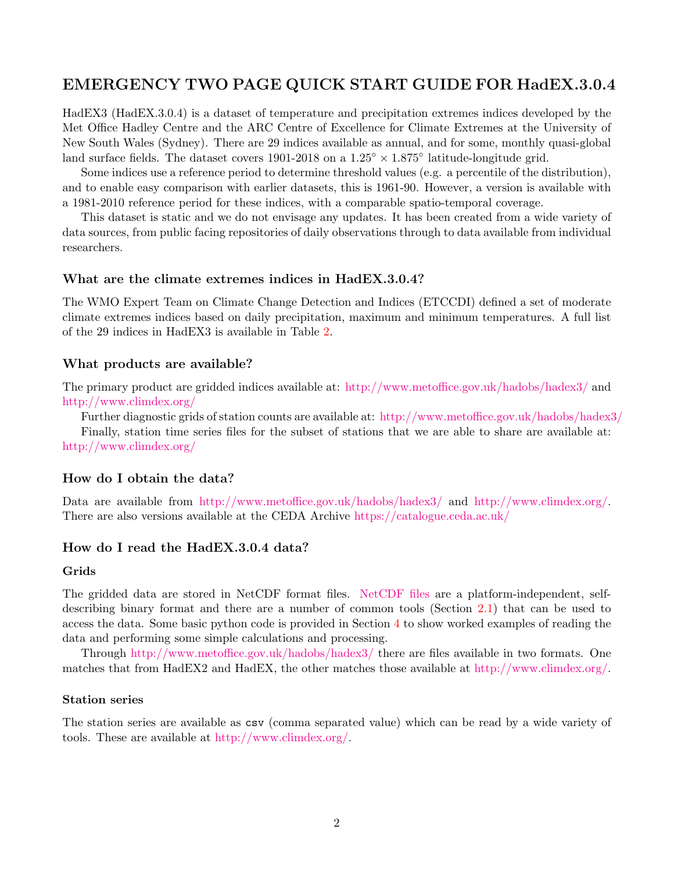## EMERGENCY TWO PAGE QUICK START GUIDE FOR HadEX.3.0.4

HadEX3 (HadEX.3.0.4) is a dataset of temperature and precipitation extremes indices developed by the Met Office Hadley Centre and the ARC Centre of Excellence for Climate Extremes at the University of New South Wales (Sydney). There are 29 indices available as annual, and for some, monthly quasi-global land surface fields. The dataset covers 1901-2018 on a  $1.25^{\circ} \times 1.875^{\circ}$  latitude-longitude grid.

Some indices use a reference period to determine threshold values (e.g. a percentile of the distribution), and to enable easy comparison with earlier datasets, this is 1961-90. However, a version is available with a 1981-2010 reference period for these indices, with a comparable spatio-temporal coverage.

This dataset is static and we do not envisage any updates. It has been created from a wide variety of data sources, from public facing repositories of daily observations through to data available from individual researchers.

#### What are the climate extremes indices in HadEX.3.0.4?

The WMO Expert Team on Climate Change Detection and Indices (ETCCDI) defined a set of moderate climate extremes indices based on daily precipitation, maximum and minimum temperatures. A full list of the 29 indices in HadEX3 is available in Table [2.](#page-9-0)

#### What products are available?

The primary product are gridded indices available at: <http://www.metoffice.gov.uk/hadobs/hadex3/> and <http://www.climdex.org/>

Further diagnostic grids of station counts are available at: <http://www.metoffice.gov.uk/hadobs/hadex3/> Finally, station time series files for the subset of stations that we are able to share are available at: <http://www.climdex.org/>

## How do I obtain the data?

Data are available from <http://www.metoffice.gov.uk/hadobs/hadex3/> and [http://www.climdex.org/.](http://www.climdex.org/) There are also versions available at the CEDA Archive [https://catalogue.ceda.ac.uk/](https://catalogue.ceda.ac.uk/uuid/caa9f45738d34e4cb1208ae0d72b5e79)

## How do I read the HadEX.3.0.4 data?

#### Grids

The gridded data are stored in NetCDF format files. [NetCDF files](https://www.unidata.ucar.edu/software/netcdf/) are a platform-independent, selfdescribing binary format and there are a number of common tools (Section [2.1\)](#page-11-0) that can be used to access the data. Some basic python code is provided in Section [4](#page-13-0) to show worked examples of reading the data and performing some simple calculations and processing.

Through <http://www.metoffice.gov.uk/hadobs/hadex3/> there are files available in two formats. One matches that from HadEX2 and HadEX, the other matches those available at [http://www.climdex.org/.](http://www.climdex.org/)

#### Station series

The station series are available as csv (comma separated value) which can be read by a wide variety of tools. These are available at [http://www.climdex.org/.](http://www.climdex.org/)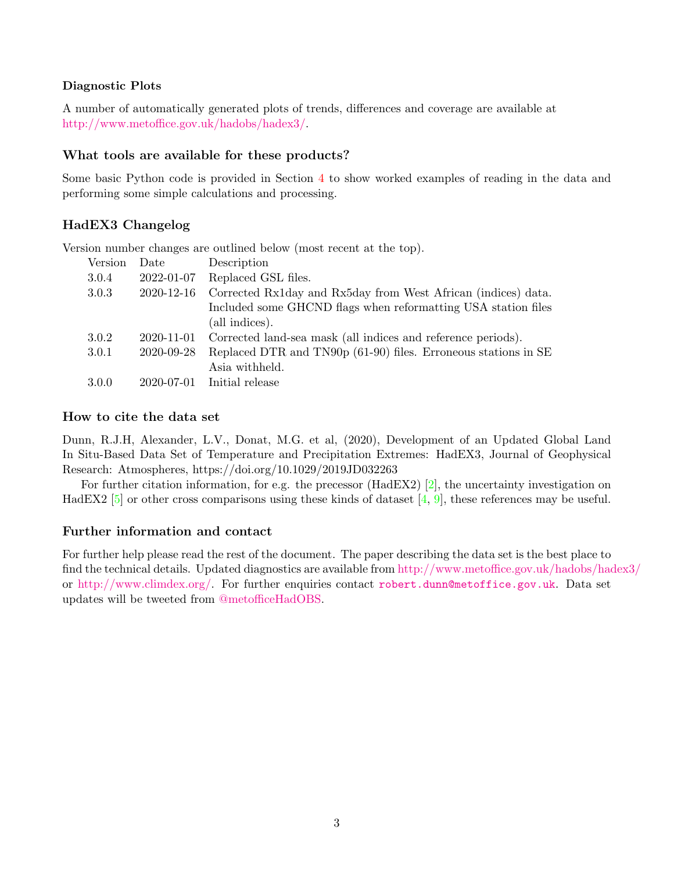### Diagnostic Plots

A number of automatically generated plots of trends, differences and coverage are available at [http://www.metoffice.gov.uk/hadobs/hadex3/.](http://www.metoffice.gov.uk/hadobs/hadex3/)

### What tools are available for these products?

Some basic Python code is provided in Section [4](#page-13-0) to show worked examples of reading in the data and performing some simple calculations and processing.

## HadEX3 Changelog

Version number changes are outlined below (most recent at the top).

| Version | Date       | Description                                                    |
|---------|------------|----------------------------------------------------------------|
| 3.0.4   | 2022-01-07 | Replaced GSL files.                                            |
| 3.0.3   | 2020-12-16 | Corrected Rx1day and Rx5day from West African (indices) data.  |
|         |            | Included some GHCND flags when reformatting USA station files  |
|         |            | (all indices).                                                 |
| 3.0.2   | 2020-11-01 | Corrected land-sea mask (all indices and reference periods).   |
| 3.0.1   | 2020-09-28 | Replaced DTR and TN90p (61-90) files. Erroneous stations in SE |
|         |            | Asia withheld.                                                 |
| 3.0.0   | 2020-07-01 | Initial release                                                |

### How to cite the data set

Dunn, R.J.H, Alexander, L.V., Donat, M.G. et al, (2020), Development of an Updated Global Land In Situ-Based Data Set of Temperature and Precipitation Extremes: HadEX3, Journal of Geophysical Research: Atmospheres, https://doi.org/10.1029/2019JD032263

For further citation information, for e.g. the precessor (HadEX2) [\[2\]](#page-18-0), the uncertainty investigation on HadEX2 [\[5\]](#page-18-1) or other cross comparisons using these kinds of dataset [\[4,](#page-18-2) [9\]](#page-19-0), these references may be useful.

## Further information and contact

For further help please read the rest of the document. The paper describing the data set is the best place to find the technical details. Updated diagnostics are available from <http://www.metoffice.gov.uk/hadobs/hadex3/> or [http://www.climdex.org/.](http://www.climdex.org/) For further enquiries contact [robert.dunn@metoffice.gov.uk](mailto:robert.dunn@metoffice.gov.uk). Data set updates will be tweeted from [@metofficeHadOBS.](https://twitter.com/metofficeHadOBS)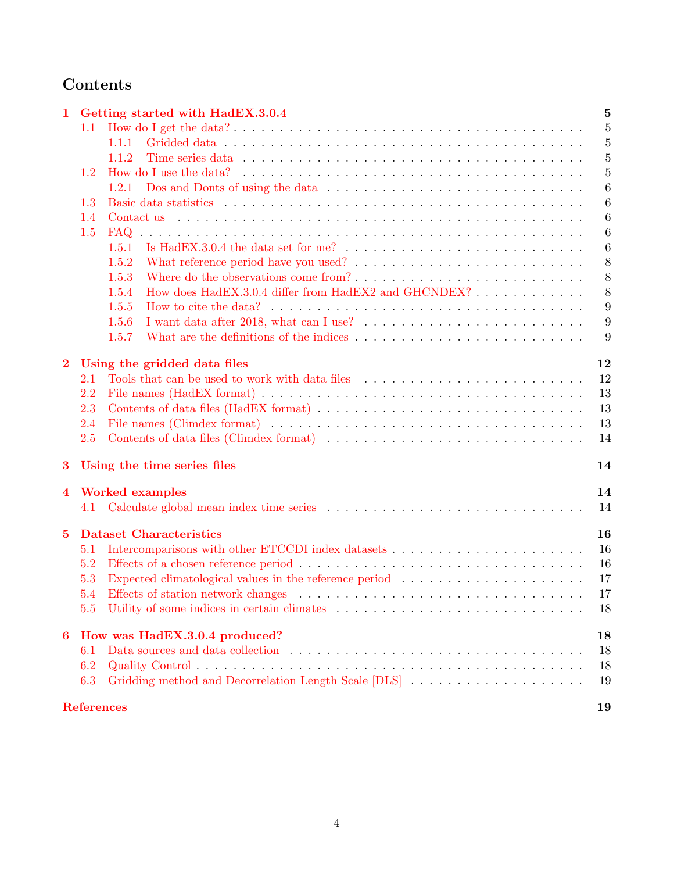# Contents

| 1                       |            | Getting started with HadEX.3.0.4                                                                                                                                                                                                       | $\overline{5}$   |
|-------------------------|------------|----------------------------------------------------------------------------------------------------------------------------------------------------------------------------------------------------------------------------------------|------------------|
|                         | 1.1        |                                                                                                                                                                                                                                        | 5                |
|                         |            | 1.1.1                                                                                                                                                                                                                                  | $\overline{5}$   |
|                         |            | 1.1.2<br>Time series data response to the series of the series of the series data response to the series of the series of the series of the series of the series of the series of the series of the series of the series of the series | $\overline{5}$   |
|                         | 1.2        | How do I use the data? $\ldots$ , $\ldots$ , $\ldots$ , $\ldots$ , $\ldots$ , $\ldots$ , $\ldots$ , $\ldots$ , $\ldots$ , $\ldots$ , $\ldots$ , $\ldots$                                                                               | $\overline{5}$   |
|                         |            | 1.2.1                                                                                                                                                                                                                                  | 6                |
|                         | 1.3        |                                                                                                                                                                                                                                        | $\boldsymbol{6}$ |
|                         | 1.4        |                                                                                                                                                                                                                                        | 6                |
|                         | 1.5        | <b>FAQ</b>                                                                                                                                                                                                                             | $\boldsymbol{6}$ |
|                         |            | Is HadEX.3.0.4 the data set for me? $\ldots \ldots \ldots \ldots \ldots \ldots \ldots \ldots \ldots$<br>1.5.1                                                                                                                          | $\boldsymbol{6}$ |
|                         |            | 1.5.2                                                                                                                                                                                                                                  | 8                |
|                         |            | Where do the observations come from?<br>1.5.3                                                                                                                                                                                          | 8                |
|                         |            | How does HadEX.3.0.4 differ from HadEX2 and GHCNDEX?<br>1.5.4                                                                                                                                                                          | 8                |
|                         |            | 1.5.5                                                                                                                                                                                                                                  | 9                |
|                         |            | 1.5.6                                                                                                                                                                                                                                  | 9                |
|                         |            | 1.5.7                                                                                                                                                                                                                                  | 9                |
|                         |            |                                                                                                                                                                                                                                        |                  |
| $\overline{2}$          |            | Using the gridded data files                                                                                                                                                                                                           | 12               |
|                         | 2.1        | Tools that can be used to work with data files                                                                                                                                                                                         | 12               |
|                         | 2.2        |                                                                                                                                                                                                                                        | 13               |
|                         | 2.3        |                                                                                                                                                                                                                                        | 13               |
|                         | 2.4        |                                                                                                                                                                                                                                        | 13               |
|                         | 2.5        | Contents of data files (Climdex format)                                                                                                                                                                                                | 14               |
| 3                       |            | Using the time series files                                                                                                                                                                                                            | 14               |
| $\overline{\mathbf{4}}$ |            | <b>Worked examples</b>                                                                                                                                                                                                                 | 14               |
|                         | 4.1        | Calculate global mean index time series $\ldots \ldots \ldots \ldots \ldots \ldots \ldots \ldots \ldots \ldots \ldots$                                                                                                                 | 14               |
| $\bf{5}$                |            | <b>Dataset Characteristics</b>                                                                                                                                                                                                         | 16               |
|                         | 5.1        |                                                                                                                                                                                                                                        | 16               |
|                         | 5.2        |                                                                                                                                                                                                                                        | 16               |
|                         | 5.3        | Expected climatological values in the reference period                                                                                                                                                                                 | 17               |
|                         |            | Effects of station network changes expansion is a series of station network changes expansion is a series of station of $\mathbb{R}$ .                                                                                                 | 17               |
|                         | 5.4<br>5.5 |                                                                                                                                                                                                                                        | 18               |
|                         |            |                                                                                                                                                                                                                                        |                  |
| 6                       |            | How was HadEX.3.0.4 produced?                                                                                                                                                                                                          | 18               |
|                         | 6.1        |                                                                                                                                                                                                                                        | 18               |
|                         | 6.2        |                                                                                                                                                                                                                                        | 18               |
|                         | 6.3        | Gridding method and Decorrelation Length Scale [DLS]                                                                                                                                                                                   | 19               |
|                         |            | <b>References</b>                                                                                                                                                                                                                      | 19               |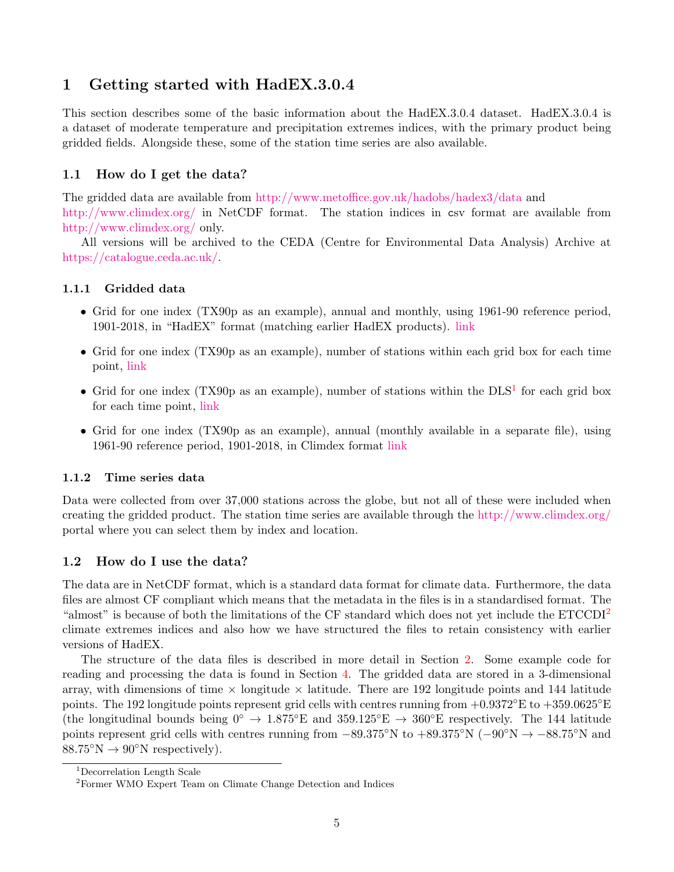## <span id="page-4-0"></span>1 Getting started with HadEX.3.0.4

This section describes some of the basic information about the HadEX.3.0.4 dataset. HadEX.3.0.4 is a dataset of moderate temperature and precipitation extremes indices, with the primary product being gridded fields. Alongside these, some of the station time series are also available.

## <span id="page-4-1"></span>1.1 How do I get the data?

The gridded data are available from [http://www.metoffice.gov.uk/hadobs/hadex3/data](http://www.metoffice.gov.uk/hadobs/hadex/data) and <http://www.climdex.org/> in NetCDF format. The station indices in csv format are available from <http://www.climdex.org/> only.

All versions will be archived to the CEDA (Centre for Environmental Data Analysis) Archive at [https://catalogue.ceda.ac.uk/.](https://catalogue.ceda.ac.uk/uuid/caa9f45738d34e4cb1208ae0d72b5e79)

### <span id="page-4-2"></span>1.1.1 Gridded data

- Grid for one index (TX90p as an example), annual and monthly, using 1961-90 reference period, 1901-2018, in "HadEX" format (matching earlier HadEX products). [link](https://www.metoffice.gov.uk/hadobs/hadex3/data/HadEX3_TX90p_1901-2018_ADW_61-90_1.25x1.875deg.nc.gz)
- Grid for one index (TX90p as an example), number of stations within each grid box for each time point, [link](https://www.metoffice.gov.uk/hadobs/hadex3/data/HadEX3_TX90p_1901-2018_ADW_61-90_1.25x1.875deg_num.nc.gz)
- Grid for one index (TX90p as an example), number of stations within the  $\text{DLS}^1$  $\text{DLS}^1$  for each grid box for each time point, [link](https://www.metoffice.gov.uk/hadobs/hadex3/data/HadEX3_TX90p_1901-2018_ADW_61-90_1.25x1.875deg_numdls.nc.gz)
- Grid for one index (TX90p as an example), annual (monthly available in a separate file), using 1961-90 reference period, 1901-2018, in Climdex format [link](https://www.metoffice.gov.uk/hadobs/hadex3/data/HadEX3_61-90_TX90p_ANN.nc.gz)

#### <span id="page-4-3"></span>1.1.2 Time series data

Data were collected from over 37,000 stations across the globe, but not all of these were included when creating the gridded product. The station time series are available through the <http://www.climdex.org/> portal where you can select them by index and location.

## <span id="page-4-4"></span>1.2 How do I use the data?

The data are in NetCDF format, which is a standard data format for climate data. Furthermore, the data files are almost CF compliant which means that the metadata in the files is in a standardised format. The "almost" is because of both the limitations of the CF standard which does not yet include the ETCCDI<sup>[2](#page-4-6)</sup> climate extremes indices and also how we have structured the files to retain consistency with earlier versions of HadEX.

The structure of the data files is described in more detail in Section [2.](#page-11-1) Some example code for reading and processing the data is found in Section [4.](#page-13-0) The gridded data are stored in a 3-dimensional array, with dimensions of time  $\times$  longitude  $\times$  latitude. There are 192 longitude points and 144 latitude points. The 192 longitude points represent grid cells with centres running from  $+0.9372^{\circ}E$  to  $+359.0625^{\circ}E$ (the longitudinal bounds being  $0^{\circ} \to 1.875^{\circ}E$  and  $359.125^{\circ}E \to 360^{\circ}E$  respectively. The 144 latitude points represent grid cells with centres running from  $-89.375°N$  to  $+89.375°N$  ( $-90°N \rightarrow -88.75°N$  and  $88.75\textdegree N \rightarrow 90\textdegree N$  respectively).

<span id="page-4-5"></span><sup>1</sup>Decorrelation Length Scale

<span id="page-4-6"></span><sup>2</sup>Former WMO Expert Team on Climate Change Detection and Indices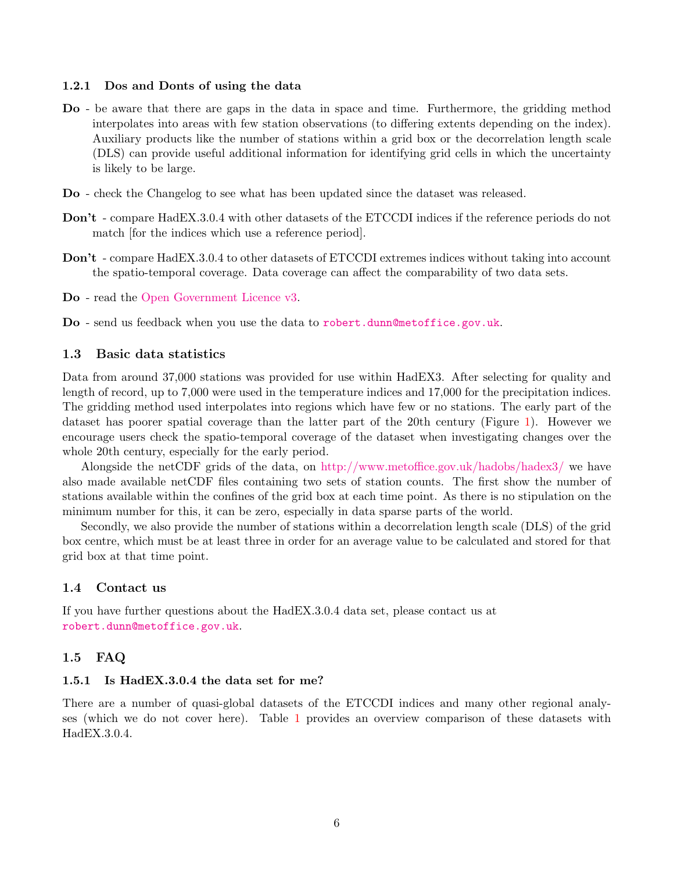#### <span id="page-5-0"></span>1.2.1 Dos and Donts of using the data

- Do be aware that there are gaps in the data in space and time. Furthermore, the gridding method interpolates into areas with few station observations (to differing extents depending on the index). Auxiliary products like the number of stations within a grid box or the decorrelation length scale (DLS) can provide useful additional information for identifying grid cells in which the uncertainty is likely to be large.
- Do check the Changelog to see what has been updated since the dataset was released.
- Don't compare HadEX.3.0.4 with other datasets of the ETCCDI indices if the reference periods do not match [for the indices which use a reference period].
- Don't compare HadEX.3.0.4 to other datasets of ETCCDI extremes indices without taking into account the spatio-temporal coverage. Data coverage can affect the comparability of two data sets.

Do - read the [Open Government Licence v3.](http://www.nationalarchives.gov.uk/doc/open-government-licence/version/3/)

Do - send us feedback when you use the data to [robert.dunn@metoffice.gov.uk](mailto:robert.dunn@metoffice.gov.uk).

#### <span id="page-5-1"></span>1.3 Basic data statistics

Data from around 37,000 stations was provided for use within HadEX3. After selecting for quality and length of record, up to 7,000 were used in the temperature indices and 17,000 for the precipitation indices. The gridding method used interpolates into regions which have few or no stations. The early part of the dataset has poorer spatial coverage than the latter part of the 20th century (Figure [1\)](#page-6-0). However we encourage users check the spatio-temporal coverage of the dataset when investigating changes over the whole 20th century, especially for the early period.

Alongside the netCDF grids of the data, on <http://www.metoffice.gov.uk/hadobs/hadex3/> we have also made available netCDF files containing two sets of station counts. The first show the number of stations available within the confines of the grid box at each time point. As there is no stipulation on the minimum number for this, it can be zero, especially in data sparse parts of the world.

Secondly, we also provide the number of stations within a decorrelation length scale (DLS) of the grid box centre, which must be at least three in order for an average value to be calculated and stored for that grid box at that time point.

#### <span id="page-5-2"></span>1.4 Contact us

If you have further questions about the HadEX.3.0.4 data set, please contact us at [robert.dunn@metoffice.gov.uk](mailto:robert.dunn@metoffice.gov.uk).

#### <span id="page-5-3"></span>1.5 FAQ

#### <span id="page-5-4"></span>1.5.1 Is HadEX.3.0.4 the data set for me?

There are a number of quasi-global datasets of the ETCCDI indices and many other regional analyses (which we do not cover here). Table [1](#page-7-3) provides an overview comparison of these datasets with HadEX.3.0.4.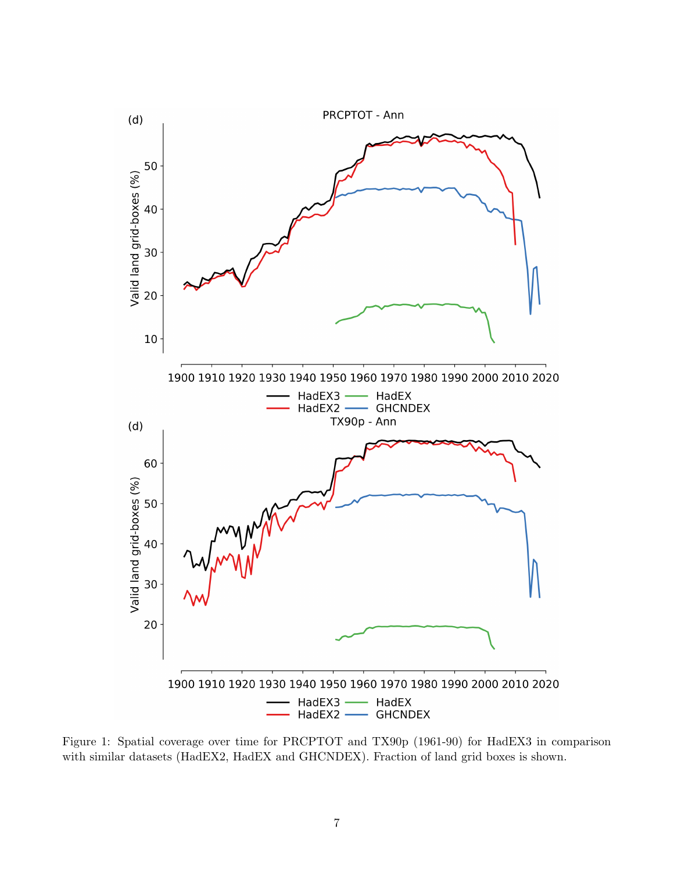

<span id="page-6-0"></span>Figure 1: Spatial coverage over time for PRCPTOT and TX90p (1961-90) for HadEX3 in comparison with similar datasets (HadEX2, HadEX and GHCNDEX). Fraction of land grid boxes is shown.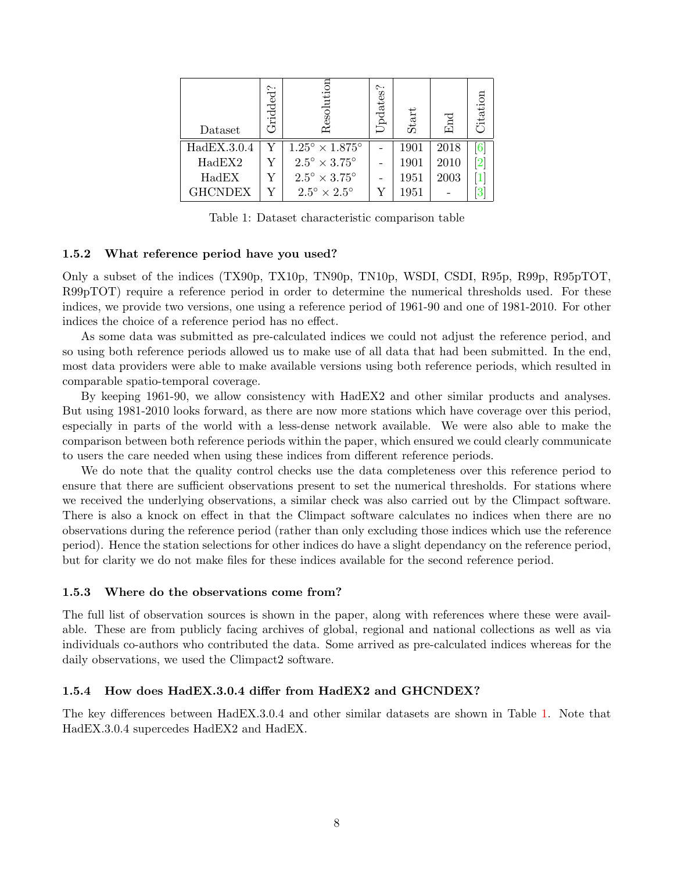| Dataset        | Gridded? | Resolution                        | Updates? | Start | End  | Citation |
|----------------|----------|-----------------------------------|----------|-------|------|----------|
| HadEX.3.0.4    | Y        | $1.25^{\circ}\times1.875^{\circ}$ |          | 1901  | 2018 |          |
| HadEX2         | Y        | $2.5^{\circ} \times 3.75^{\circ}$ |          | 1901  | 2010 |          |
| HadEX          | Y        | $2.5^{\circ} \times 3.75^{\circ}$ |          | 1951  | 2003 |          |
| <b>GHCNDEX</b> | Y        | $2.5^{\circ} \times 2.5^{\circ}$  | Y        | 1951  |      |          |

<span id="page-7-3"></span>Table 1: Dataset characteristic comparison table

#### <span id="page-7-0"></span>1.5.2 What reference period have you used?

Only a subset of the indices (TX90p, TX10p, TN90p, TN10p, WSDI, CSDI, R95p, R99p, R95pTOT, R99pTOT) require a reference period in order to determine the numerical thresholds used. For these indices, we provide two versions, one using a reference period of 1961-90 and one of 1981-2010. For other indices the choice of a reference period has no effect.

As some data was submitted as pre-calculated indices we could not adjust the reference period, and so using both reference periods allowed us to make use of all data that had been submitted. In the end, most data providers were able to make available versions using both reference periods, which resulted in comparable spatio-temporal coverage.

By keeping 1961-90, we allow consistency with HadEX2 and other similar products and analyses. But using 1981-2010 looks forward, as there are now more stations which have coverage over this period, especially in parts of the world with a less-dense network available. We were also able to make the comparison between both reference periods within the paper, which ensured we could clearly communicate to users the care needed when using these indices from different reference periods.

We do note that the quality control checks use the data completeness over this reference period to ensure that there are sufficient observations present to set the numerical thresholds. For stations where we received the underlying observations, a similar check was also carried out by the Climpact software. There is also a knock on effect in that the Climpact software calculates no indices when there are no observations during the reference period (rather than only excluding those indices which use the reference period). Hence the station selections for other indices do have a slight dependancy on the reference period, but for clarity we do not make files for these indices available for the second reference period.

#### <span id="page-7-1"></span>1.5.3 Where do the observations come from?

The full list of observation sources is shown in the paper, along with references where these were available. These are from publicly facing archives of global, regional and national collections as well as via individuals co-authors who contributed the data. Some arrived as pre-calculated indices whereas for the daily observations, we used the Climpact2 software.

#### <span id="page-7-2"></span>1.5.4 How does HadEX.3.0.4 differ from HadEX2 and GHCNDEX?

The key differences between HadEX.3.0.4 and other similar datasets are shown in Table [1.](#page-7-3) Note that HadEX.3.0.4 supercedes HadEX2 and HadEX.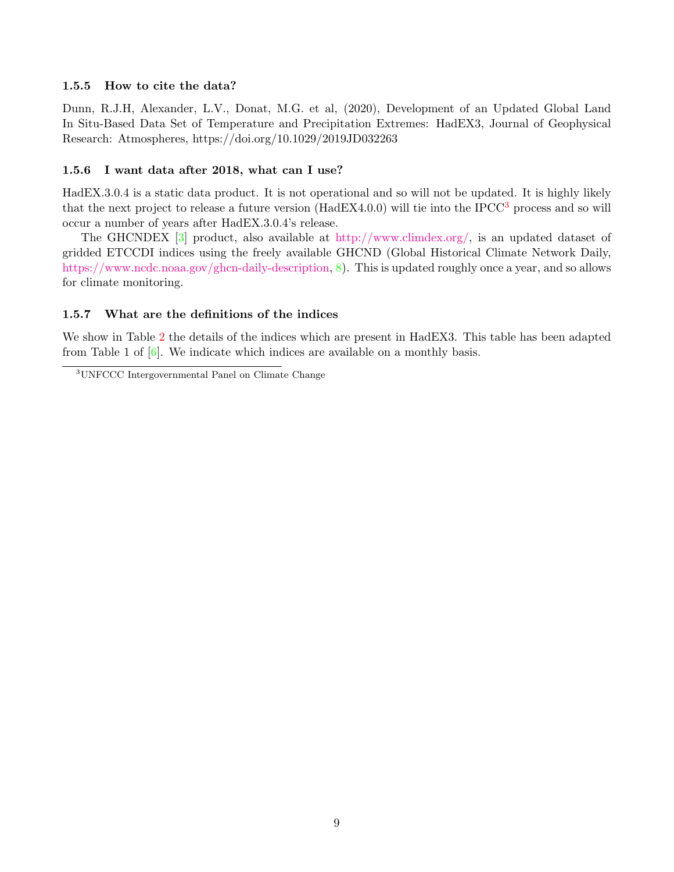#### <span id="page-8-0"></span>1.5.5 How to cite the data?

Dunn, R.J.H, Alexander, L.V., Donat, M.G. et al, (2020), Development of an Updated Global Land In Situ-Based Data Set of Temperature and Precipitation Extremes: HadEX3, Journal of Geophysical Research: Atmospheres, https://doi.org/10.1029/2019JD032263

#### <span id="page-8-1"></span>1.5.6 I want data after 2018, what can I use?

HadEX.3.0.4 is a static data product. It is not operational and so will not be updated. It is highly likely that the next project to release a future version (HadEX4.0.0) will tie into the IPCC[3](#page-8-3) process and so will occur a number of years after HadEX.3.0.4's release.

The GHCNDEX [\[3\]](#page-18-7) product, also available at [http://www.climdex.org/,](http://www.climdex.org/) is an updated dataset of gridded ETCCDI indices using the freely available GHCND (Global Historical Climate Network Daily, [https://www.ncdc.noaa.gov/ghcn-daily-description,](https://www.ncdc.noaa.gov/ghcn-daily-description) [8\)](#page-18-8). This is updated roughly once a year, and so allows for climate monitoring.

#### <span id="page-8-2"></span>1.5.7 What are the definitions of the indices

We show in Table [2](#page-9-0) the details of the indices which are present in HadEX3. This table has been adapted from Table 1 of  $[6]$ . We indicate which indices are available on a monthly basis.

<span id="page-8-3"></span><sup>3</sup>UNFCCC Intergovernmental Panel on Climate Change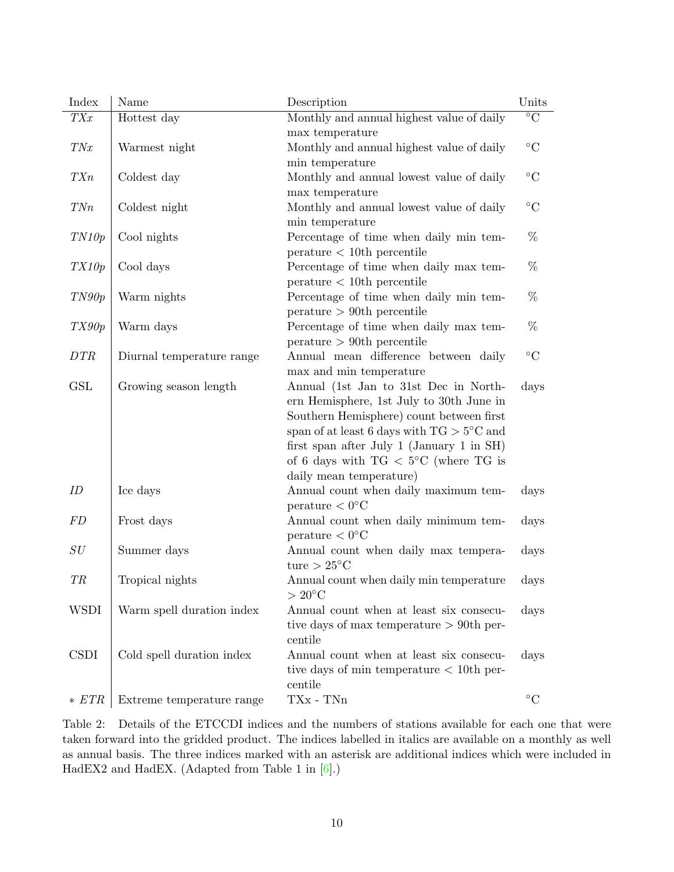| Index                | Name                      | Description                                                | Units           |
|----------------------|---------------------------|------------------------------------------------------------|-----------------|
| TXx                  | Hottest day               | Monthly and annual highest value of daily                  | $\overline{C}$  |
|                      |                           | max temperature                                            |                 |
| TNx                  | Warmest night             | Monthly and annual highest value of daily                  | $\rm ^{\circ}C$ |
|                      |                           | min temperature                                            |                 |
| TXn                  | Coldest day               | Monthly and annual lowest value of daily                   | $\rm ^{\circ}C$ |
|                      |                           | max temperature                                            |                 |
| TNn                  | Coldest night             | Monthly and annual lowest value of daily                   | $\rm ^{\circ}C$ |
|                      |                           | min temperature                                            |                 |
| TN10p                | Cool nights               | Percentage of time when daily min tem-                     | %               |
|                      |                           | $\text{perature} < 10$ th percentile                       |                 |
| TX10p                | Cool days                 | Percentage of time when daily max tem-                     | %               |
|                      |                           | $\text{perature} < 10$ th percentile                       |                 |
| TN90p                | Warm nights               | Percentage of time when daily min tem-                     | %               |
|                      |                           | $\text{perature} > 90$ th percentile                       |                 |
| TX90p                | Warm days                 | Percentage of time when daily max tem-                     | %               |
|                      |                           | $\text{perature} > 90$ th percentile                       |                 |
| DTR                  | Diurnal temperature range | Annual mean difference between daily                       | $\rm ^{\circ}C$ |
|                      |                           | max and min temperature                                    |                 |
| $\operatorname{GSL}$ | Growing season length     | Annual (1st Jan to 31st Dec in North-                      | days            |
|                      |                           | ern Hemisphere, 1st July to 30th June in                   |                 |
|                      |                           | Southern Hemisphere) count between first                   |                 |
|                      |                           | span of at least 6 days with TG $>5^{\circ}\mathrm{C}$ and |                 |
|                      |                           | first span after July 1 (January 1 in SH)                  |                 |
|                      |                           | of 6 days with $TG < 5^{\circ}C$ (where TG is              |                 |
|                      |                           | daily mean temperature)                                    |                 |
| ID                   | Ice days                  | Annual count when daily maximum tem-                       | days            |
|                      |                           | $\text{perature} < 0^{\circ}C$                             |                 |
| FD                   | Frost days                | Annual count when daily minimum tem-                       | days            |
|                      |                           | $\text{perature} < 0^{\circ}C$                             |                 |
| SU                   | Summer days               | Annual count when daily max tempera-                       | days            |
|                      |                           | ture $> 25^{\circ}$ C                                      |                 |
| TR                   | Tropical nights           | Annual count when daily min temperature                    | days            |
|                      |                           | $>20^{\circ}$ C                                            |                 |
| <b>WSDI</b>          | Warm spell duration index | Annual count when at least six consecu-                    | days            |
|                      |                           | tive days of max temperature $> 90$ th per-                |                 |
|                      |                           | centile                                                    |                 |
| <b>CSDI</b>          | Cold spell duration index | Annual count when at least six consecu-                    | days            |
|                      |                           | tive days of min temperature $< 10$ th per-                |                 |
|                      |                           | centile                                                    |                 |
| $* FTR$              | Extreme temperature range | TXx - TNn                                                  | $\rm ^{\circ}C$ |

<span id="page-9-0"></span>Table 2: Details of the ETCCDI indices and the numbers of stations available for each one that were taken forward into the gridded product. The indices labelled in italics are available on a monthly as well as annual basis. The three indices marked with an asterisk are additional indices which were included in HadEX2 and HadEX. (Adapted from Table 1 in [\[6\]](#page-18-5).)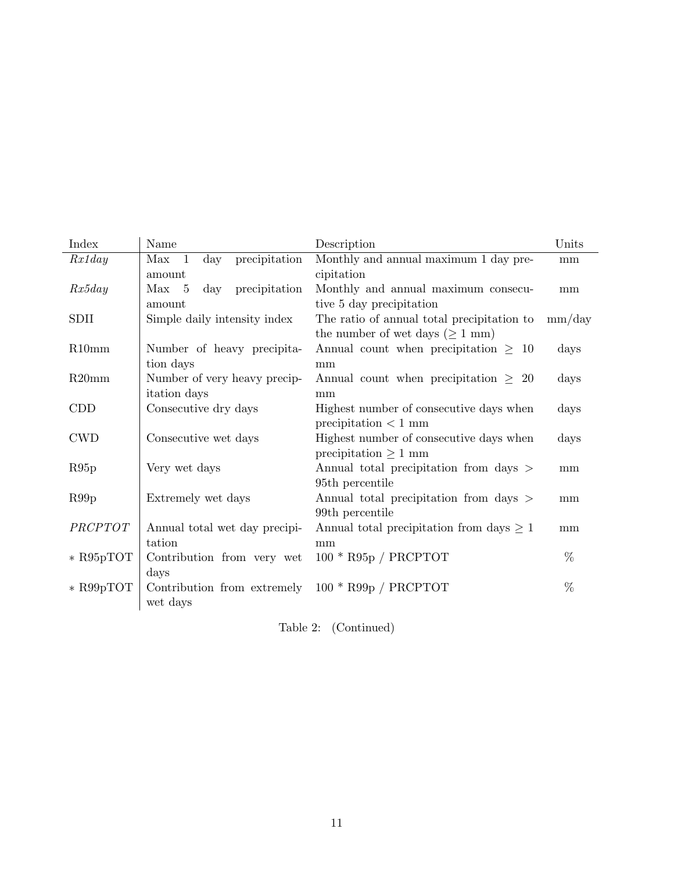| Index       | Name                                        | Description                                   | Units  |
|-------------|---------------------------------------------|-----------------------------------------------|--------|
| Rx1day      | precipitation<br>$Max \quad 1$<br>$\rm day$ | Monthly and annual maximum 1 day pre-         | mm     |
|             | amount                                      | cipitation                                    |        |
| Rx5day      | precipitation<br>Max 5<br>$\rm day$         | Monthly and annual maximum consecu-           | mm     |
|             | amount                                      | tive 5 day precipitation                      |        |
| SDII        | Simple daily intensity index                | The ratio of annual total precipitation to    | mm/day |
|             |                                             | the number of wet days ( $\geq 1$ mm)         |        |
| R10mm       | Number of heavy precipita-                  | Annual count when precipitation $\geq 10$     | days   |
|             | tion days                                   | mm                                            |        |
| R20mm       | Number of very heavy precip-                | Annual count when precipitation $\geq 20$     | days   |
|             | itation days                                | mm                                            |        |
| CDD         | Consecutive dry days                        | Highest number of consecutive days when       | days   |
|             |                                             | precipitation $<$ 1 mm                        |        |
| <b>CWD</b>  | Consecutive wet days                        | Highest number of consecutive days when       | days   |
|             |                                             | precipitation $\geq 1$ mm                     |        |
| R95p        | Very wet days                               | Annual total precipitation from days >        | mm     |
|             |                                             | 95th percentile                               |        |
| R99p        | Extremely wet days                          | Annual total precipitation from days >        | mm     |
|             |                                             | 99th percentile                               |        |
| PRCPTOT     | Annual total wet day precipi-               | Annual total precipitation from days $\geq 1$ | mm     |
|             | tation                                      | mm                                            |        |
| $*$ R95pTOT | Contribution from very wet                  | $100 * R95p / PRCPTOT$                        | %      |
|             | days                                        |                                               |        |
| $*$ R99pTOT | Contribution from extremely                 | $100 * R99p / PRCPTOT$                        | %      |
|             | wet days                                    |                                               |        |

Table 2: (Continued)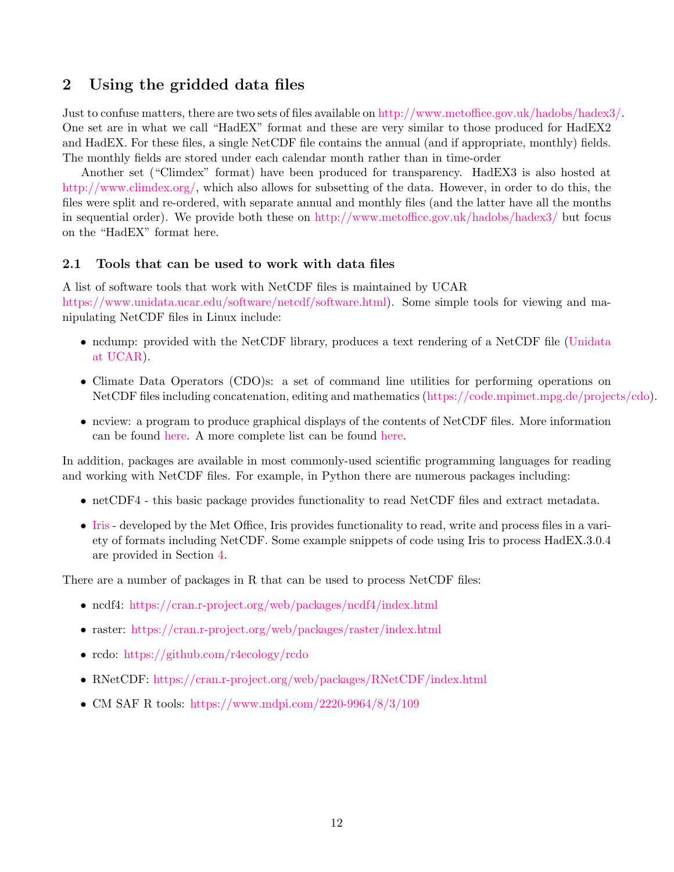## <span id="page-11-1"></span>2 Using the gridded data files

Just to confuse matters, there are two sets of files available on [http://www.metoffice.gov.uk/hadobs/hadex3/.](http://www.metoffice.gov.uk/hadobs/hadex3/) One set are in what we call "HadEX" format and these are very similar to those produced for HadEX2 and HadEX. For these files, a single NetCDF file contains the annual (and if appropriate, monthly) fields. The monthly fields are stored under each calendar month rather than in time-order

Another set ("Climdex" format) have been produced for transparency. HadEX3 is also hosted at [http://www.climdex.org/,](http://www.climdex.org/) which also allows for subsetting of the data. However, in order to do this, the files were split and re-ordered, with separate annual and monthly files (and the latter have all the months in sequential order). We provide both these on <http://www.metoffice.gov.uk/hadobs/hadex3/> but focus on the "HadEX" format here.

## <span id="page-11-0"></span>2.1 Tools that can be used to work with data files

A list of software tools that work with NetCDF files is maintained by UCAR [https://www.unidata.ucar.edu/software/netcdf/software.html\)](http://www.unidata.ucar.edu/software/netcdf/software.html). Some simple tools for viewing and manipulating NetCDF files in Linux include:

- ncdump: provided with the NetCDF library, produces a text rendering of a NetCDF file [\(Unidata](http://www.unidata.ucar.edu/software/netcdf/) [at UCAR\)](http://www.unidata.ucar.edu/software/netcdf/).
- Climate Data Operators (CDO)s: a set of command line utilities for performing operations on NetCDF files including concatenation, editing and mathematics [\(https://code.mpimet.mpg.de/projects/cdo\)](https://code.mpimet.mpg.de/projects/cdo).
- ncview: a program to produce graphical displays of the contents of NetCDF files. More information can be found [here.](http://meteora.ucsd.edu/~pierce/ncview_home_page.html) A more complete list can be found [here.](http://www.unidata.ucar.edu/software/netcdf/software.html)

In addition, packages are available in most commonly-used scientific programming languages for reading and working with NetCDF files. For example, in Python there are numerous packages including:

- netCDF4 this basic package provides functionality to read NetCDF files and extract metadata.
- [Iris](https://scitools.org.uk/iris/docs/latest/) developed by the Met Office, Iris provides functionality to read, write and process files in a variety of formats including NetCDF. Some example snippets of code using Iris to process HadEX.3.0.4 are provided in Section [4.](#page-13-0)

There are a number of packages in R that can be used to process NetCDF files:

- ncdf4: <https://cran.r-project.org/web/packages/ncdf4/index.html>
- raster: <https://cran.r-project.org/web/packages/raster/index.html>
- rcdo: <https://github.com/r4ecology/rcdo>
- RNetCDF: <https://cran.r-project.org/web/packages/RNetCDF/index.html>
- CM SAF R tools: <https://www.mdpi.com/2220-9964/8/3/109>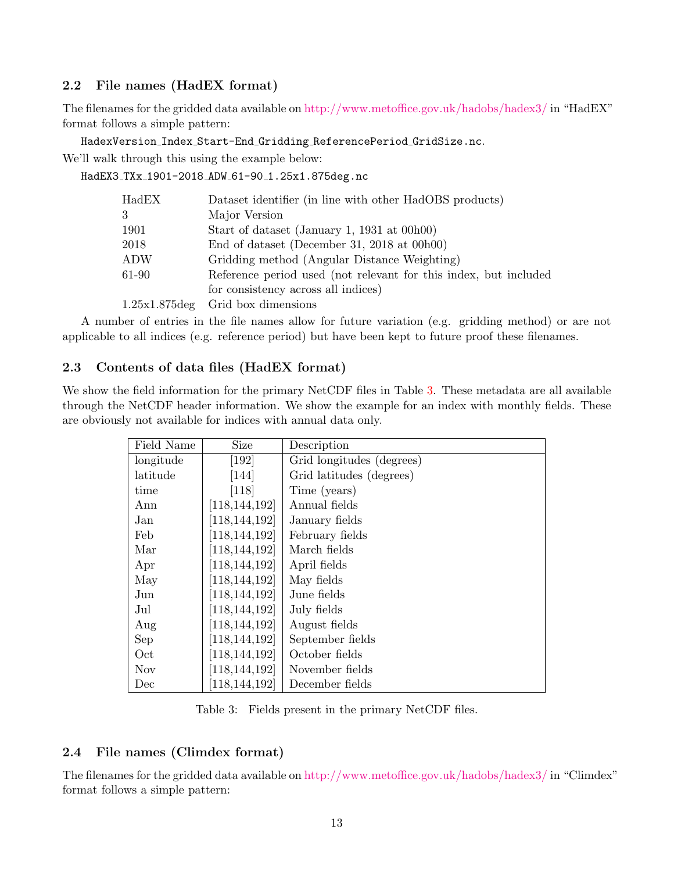## <span id="page-12-0"></span>2.2 File names (HadEX format)

The filenames for the gridded data available on <http://www.metoffice.gov.uk/hadobs/hadex3/> in "HadEX" format follows a simple pattern:

HadexVersion Index Start-End Gridding ReferencePeriod GridSize.nc.

We'll walk through this using the example below:

HadEX3\_TXx\_1901-2018\_ADW\_61-90\_1.25x1.875deg.nc

| Dataset identifier (in line with other HadOBS products)          |
|------------------------------------------------------------------|
| Major Version                                                    |
| Start of dataset (January 1, 1931 at 00h00)                      |
| End of dataset (December 31, 2018 at $00h00$ )                   |
| Gridding method (Angular Distance Weighting)                     |
| Reference period used (not relevant for this index, but included |
| for consistency across all indices)                              |
| Grid box dimensions                                              |
|                                                                  |

A number of entries in the file names allow for future variation (e.g. gridding method) or are not applicable to all indices (e.g. reference period) but have been kept to future proof these filenames.

## <span id="page-12-1"></span>2.3 Contents of data files (HadEX format)

We show the field information for the primary NetCDF files in Table [3.](#page-12-3) These metadata are all available through the NetCDF header information. We show the example for an index with monthly fields. These are obviously not available for indices with annual data only.

| Field Name | <b>Size</b>                   | Description               |
|------------|-------------------------------|---------------------------|
| longitude  | $\left\lceil 192\right\rceil$ | Grid longitudes (degrees) |
| latitude   | [144]                         | Grid latitudes (degrees)  |
| time       | [118]                         | Time (years)              |
| Ann        | [118, 144, 192]               | Annual fields             |
| Jan        | [118, 144, 192]               | January fields            |
| Feb        | [118, 144, 192]               | February fields           |
| Mar        | [118, 144, 192]               | March fields              |
| Apr        | [118, 144, 192]               | April fields              |
| May        | [118, 144, 192]               | May fields                |
| Jun        | [118, 144, 192]               | June fields               |
| Jul        | [118, 144, 192]               | July fields               |
| Aug        | [118, 144, 192]               | August fields             |
| Sep        | [118, 144, 192]               | September fields          |
| Oct        | [118, 144, 192]               | October fields            |
| <b>Nov</b> | [118, 144, 192]               | November fields           |
| Dec        | [118, 144, 192]               | December fields           |

<span id="page-12-3"></span>Table 3: Fields present in the primary NetCDF files.

## <span id="page-12-2"></span>2.4 File names (Climdex format)

The filenames for the gridded data available on <http://www.metoffice.gov.uk/hadobs/hadex3/> in "Climdex" format follows a simple pattern: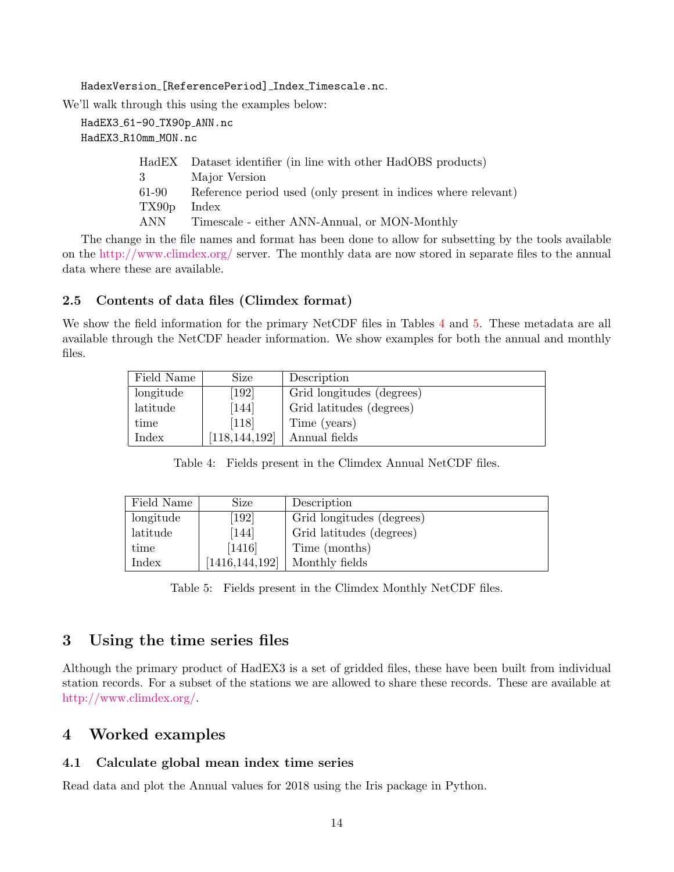HadexVersion\_[ReferencePeriod]\_Index\_Timescale.nc.

We'll walk through this using the examples below:

HadEX3\_61-90\_TX90p\_ANN.nc HadEX3 R10mm MON.nc

|                   | HadEX Dataset identifier (in line with other HadOBS products)        |
|-------------------|----------------------------------------------------------------------|
| $3 \qquad \qquad$ | Major Version                                                        |
|                   | 61-90 Reference period used (only present in indices where relevant) |
| TX90p             | Index                                                                |
| ANN               | Timescale - either ANN-Annual, or MON-Monthly                        |
|                   |                                                                      |

The change in the file names and format has been done to allow for subsetting by the tools available on the <http://www.climdex.org/> server. The monthly data are now stored in separate files to the annual data where these are available.

## <span id="page-13-1"></span>2.5 Contents of data files (Climdex format)

We show the field information for the primary NetCDF files in Tables [4](#page-13-4) and [5.](#page-13-5) These metadata are all available through the NetCDF header information. We show examples for both the annual and monthly files.

| Field Name | Size            | Description               |
|------------|-----------------|---------------------------|
| longitude  | [192]           | Grid longitudes (degrees) |
| latitude   | [144]           | Grid latitudes (degrees)  |
| time       | $[118]$         | Time (years)              |
| Index      | [118, 144, 192] | Annual fields             |

<span id="page-13-4"></span>Table 4: Fields present in the Climdex Annual NetCDF files.

| Field Name | Size               | Description               |
|------------|--------------------|---------------------------|
| longitude  | $\left[192\right]$ | Grid longitudes (degrees) |
| latitude   | [144]              | Grid latitudes (degrees)  |
| time       | $[1416]$           | Time (months)             |
| Index      | [1416, 144, 192]   | Monthly fields            |

<span id="page-13-5"></span>Table 5: Fields present in the Climdex Monthly NetCDF files.

## <span id="page-13-2"></span>3 Using the time series files

Although the primary product of HadEX3 is a set of gridded files, these have been built from individual station records. For a subset of the stations we are allowed to share these records. These are available at [http://www.climdex.org/.](http://www.climdex.org/)

## <span id="page-13-0"></span>4 Worked examples

## <span id="page-13-3"></span>4.1 Calculate global mean index time series

Read data and plot the Annual values for 2018 using the Iris package in Python.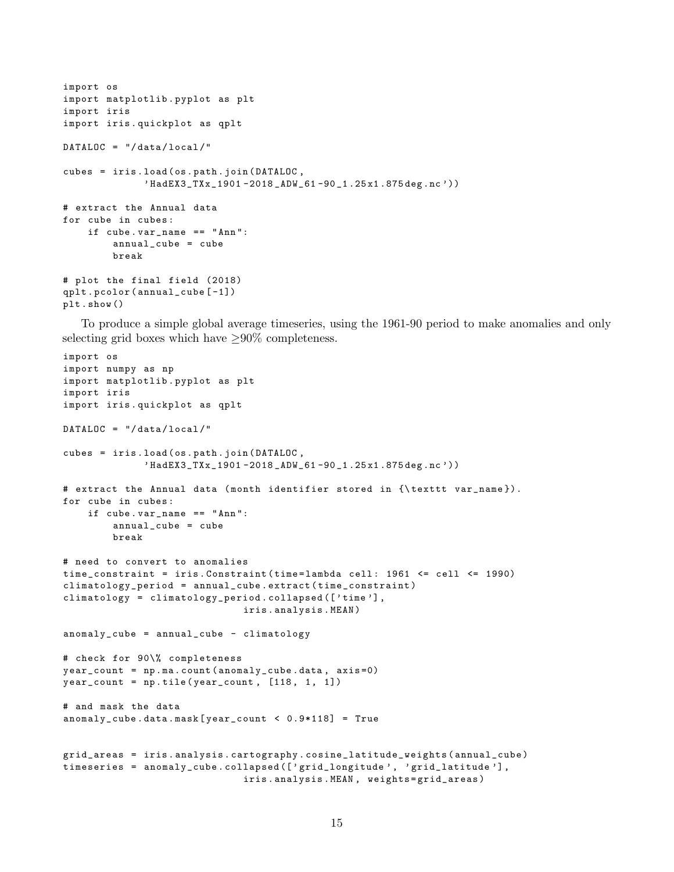```
import os
import matplotlib . pyplot as plt
import iris
import iris . quickplot as qplt
DATALOC = " / data / local / "cubes = iris . load ( os . path . join ( DATALOC ,
               ' HadEX3_TXx_1901 -2018 _ADW_61 -90 _1 .25 x1 .875 deg . nc '))
# extract the Annual data
for cube in cubes :
    if cube . var_name == " Ann ":
         annual_cube = cube
         break
# plot the final field (2018)
qplt . pcolor ( annual_cube [ -1])
plt . show ()
```
To produce a simple global average timeseries, using the 1961-90 period to make anomalies and only selecting grid boxes which have  $\geq 90\%$  completeness.

```
import os
import numpy as np
import matplotlib . pyplot as plt
import iris
import iris . quickplot as qplt
DATALOC = " / data / local / "cubes = iris . load ( os . path . join ( DATALOC ,
              ' HadEX3_TXx_1901 -2018 _ADW_61 -90 _1 .25 x1 .875 deg . nc '))
# extract the Annual data (month identifier stored in {\texttt var_name}).
for cube in cubes :
    if cube . var_name == " Ann ":
        annual_cube = cube
        break
# need to convert to anomalies
time_constraint = iris. Constraint (time=lambda cell: 1961 <= cell <= 1990)
climatology_period = annual_cube . extract ( time_constraint )
climatology = climatology_period . collapsed ([ ' time '] ,
                                iris . analysis . MEAN )
anomaly_cube = annual_cube - climatology
# check for 90\% completeness
year_count = np . ma . count ( anomaly_cube . data , axis =0)
year\_count = np.title(year\_count, [118, 1, 1])# and mask the data
anomaly_cube . data . mask [ year_count < 0.9*118] = True
grid_areas = iris . analysis . cartography . cosine_latitude_weights ( annual_cube )
timeseries = anomaly_cube.collapsed (['grid_longitude', 'grid_latitude'],
                                iris . analysis . MEAN , weights = grid_areas )
```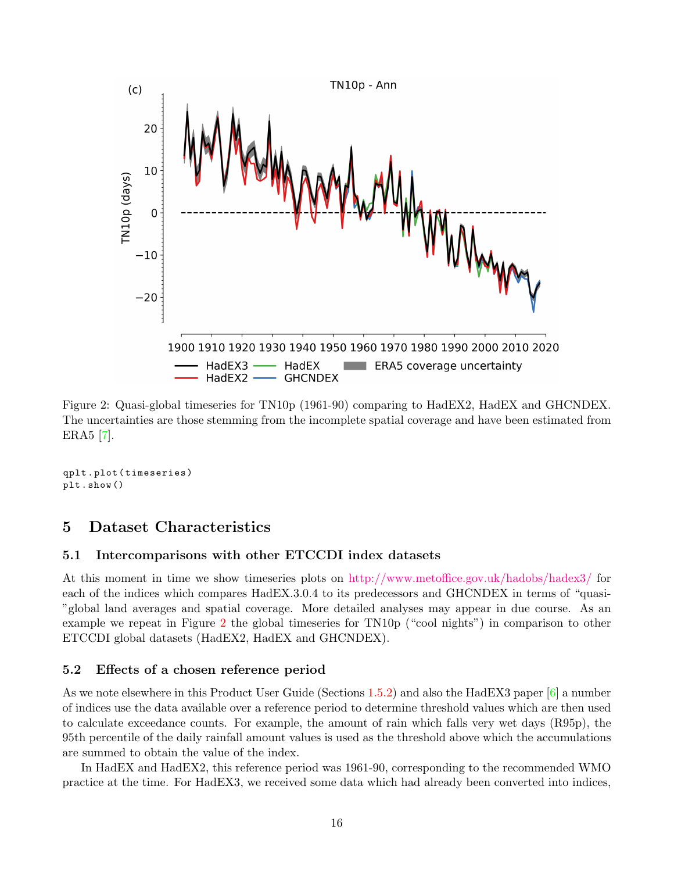

<span id="page-15-3"></span>Figure 2: Quasi-global timeseries for TN10p (1961-90) comparing to HadEX2, HadEX and GHCNDEX. The uncertainties are those stemming from the incomplete spatial coverage and have been estimated from ERA5 [\[7\]](#page-18-9).

qplt . plot ( timeseries ) plt . show ()

## <span id="page-15-0"></span>5 Dataset Characteristics

#### <span id="page-15-1"></span>5.1 Intercomparisons with other ETCCDI index datasets

At this moment in time we show timeseries plots on <http://www.metoffice.gov.uk/hadobs/hadex3/> for each of the indices which compares HadEX.3.0.4 to its predecessors and GHCNDEX in terms of "quasi- "global land averages and spatial coverage. More detailed analyses may appear in due course. As an example we repeat in Figure [2](#page-15-3) the global timeseries for TN10p ("cool nights") in comparison to other ETCCDI global datasets (HadEX2, HadEX and GHCNDEX).

#### <span id="page-15-2"></span>5.2 Effects of a chosen reference period

As we note elsewhere in this Product User Guide (Sections [1.5.2\)](#page-7-0) and also the HadEX3 paper [\[6\]](#page-18-5) a number of indices use the data available over a reference period to determine threshold values which are then used to calculate exceedance counts. For example, the amount of rain which falls very wet days (R95p), the 95th percentile of the daily rainfall amount values is used as the threshold above which the accumulations are summed to obtain the value of the index.

In HadEX and HadEX2, this reference period was 1961-90, corresponding to the recommended WMO practice at the time. For HadEX3, we received some data which had already been converted into indices,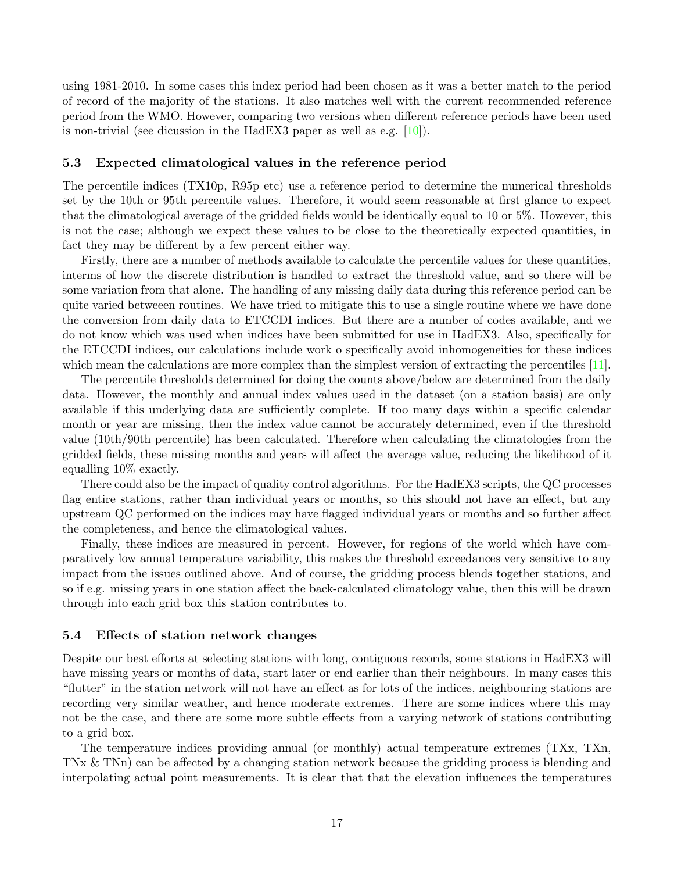using 1981-2010. In some cases this index period had been chosen as it was a better match to the period of record of the majority of the stations. It also matches well with the current recommended reference period from the WMO. However, comparing two versions when different reference periods have been used is non-trivial (see dicussion in the HadEX3 paper as well as e.g. [\[10\]](#page-19-1)).

#### <span id="page-16-0"></span>5.3 Expected climatological values in the reference period

The percentile indices (TX10p, R95p etc) use a reference period to determine the numerical thresholds set by the 10th or 95th percentile values. Therefore, it would seem reasonable at first glance to expect that the climatological average of the gridded fields would be identically equal to 10 or 5%. However, this is not the case; although we expect these values to be close to the theoretically expected quantities, in fact they may be different by a few percent either way.

Firstly, there are a number of methods available to calculate the percentile values for these quantities, interms of how the discrete distribution is handled to extract the threshold value, and so there will be some variation from that alone. The handling of any missing daily data during this reference period can be quite varied betweeen routines. We have tried to mitigate this to use a single routine where we have done the conversion from daily data to ETCCDI indices. But there are a number of codes available, and we do not know which was used when indices have been submitted for use in HadEX3. Also, specifically for the ETCCDI indices, our calculations include work o specifically avoid inhomogeneities for these indices which mean the calculations are more complex than the simplest version of extracting the percentiles [\[11\]](#page-19-2).

The percentile thresholds determined for doing the counts above/below are determined from the daily data. However, the monthly and annual index values used in the dataset (on a station basis) are only available if this underlying data are sufficiently complete. If too many days within a specific calendar month or year are missing, then the index value cannot be accurately determined, even if the threshold value (10th/90th percentile) has been calculated. Therefore when calculating the climatologies from the gridded fields, these missing months and years will affect the average value, reducing the likelihood of it equalling 10% exactly.

There could also be the impact of quality control algorithms. For the HadEX3 scripts, the QC processes flag entire stations, rather than individual years or months, so this should not have an effect, but any upstream QC performed on the indices may have flagged individual years or months and so further affect the completeness, and hence the climatological values.

Finally, these indices are measured in percent. However, for regions of the world which have comparatively low annual temperature variability, this makes the threshold exceedances very sensitive to any impact from the issues outlined above. And of course, the gridding process blends together stations, and so if e.g. missing years in one station affect the back-calculated climatology value, then this will be drawn through into each grid box this station contributes to.

#### <span id="page-16-1"></span>5.4 Effects of station network changes

Despite our best efforts at selecting stations with long, contiguous records, some stations in HadEX3 will have missing years or months of data, start later or end earlier than their neighbours. In many cases this "flutter" in the station network will not have an effect as for lots of the indices, neighbouring stations are recording very similar weather, and hence moderate extremes. There are some indices where this may not be the case, and there are some more subtle effects from a varying network of stations contributing to a grid box.

The temperature indices providing annual (or monthly) actual temperature extremes (TXx, TXn, TNx & TNn) can be affected by a changing station network because the gridding process is blending and interpolating actual point measurements. It is clear that that the elevation influences the temperatures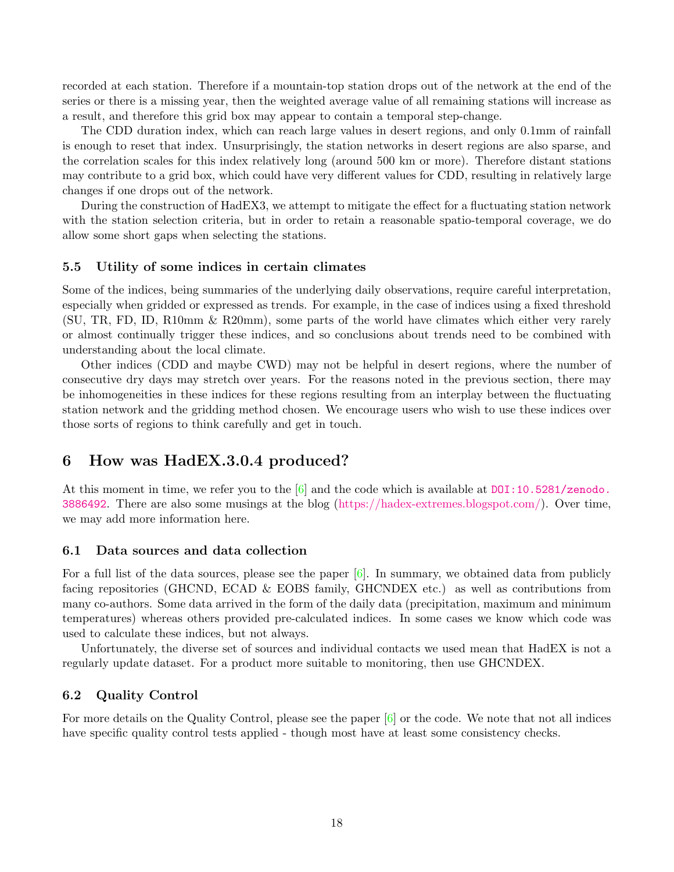recorded at each station. Therefore if a mountain-top station drops out of the network at the end of the series or there is a missing year, then the weighted average value of all remaining stations will increase as a result, and therefore this grid box may appear to contain a temporal step-change.

The CDD duration index, which can reach large values in desert regions, and only 0.1mm of rainfall is enough to reset that index. Unsurprisingly, the station networks in desert regions are also sparse, and the correlation scales for this index relatively long (around 500 km or more). Therefore distant stations may contribute to a grid box, which could have very different values for CDD, resulting in relatively large changes if one drops out of the network.

During the construction of HadEX3, we attempt to mitigate the effect for a fluctuating station network with the station selection criteria, but in order to retain a reasonable spatio-temporal coverage, we do allow some short gaps when selecting the stations.

#### <span id="page-17-0"></span>5.5 Utility of some indices in certain climates

Some of the indices, being summaries of the underlying daily observations, require careful interpretation, especially when gridded or expressed as trends. For example, in the case of indices using a fixed threshold (SU, TR, FD, ID, R10mm & R20mm), some parts of the world have climates which either very rarely or almost continually trigger these indices, and so conclusions about trends need to be combined with understanding about the local climate.

Other indices (CDD and maybe CWD) may not be helpful in desert regions, where the number of consecutive dry days may stretch over years. For the reasons noted in the previous section, there may be inhomogeneities in these indices for these regions resulting from an interplay between the fluctuating station network and the gridding method chosen. We encourage users who wish to use these indices over those sorts of regions to think carefully and get in touch.

## <span id="page-17-1"></span>6 How was HadEX.3.0.4 produced?

At this moment in time, we refer you to the  $[6]$  and the code which is available at [DOI:10.5281/zenodo.](DOI:10.5281/zenodo.3886492) [3886492](DOI:10.5281/zenodo.3886492). There are also some musings at the blog [\(https://hadex-extremes.blogspot.com/\)](https://hadex-extremes.blogspot.com/). Over time, we may add more information here.

#### <span id="page-17-2"></span>6.1 Data sources and data collection

For a full list of the data sources, please see the paper  $[6]$ . In summary, we obtained data from publicly facing repositories (GHCND, ECAD & EOBS family, GHCNDEX etc.) as well as contributions from many co-authors. Some data arrived in the form of the daily data (precipitation, maximum and minimum temperatures) whereas others provided pre-calculated indices. In some cases we know which code was used to calculate these indices, but not always.

Unfortunately, the diverse set of sources and individual contacts we used mean that HadEX is not a regularly update dataset. For a product more suitable to monitoring, then use GHCNDEX.

#### <span id="page-17-3"></span>6.2 Quality Control

For more details on the Quality Control, please see the paper [\[6\]](#page-18-5) or the code. We note that not all indices have specific quality control tests applied - though most have at least some consistency checks.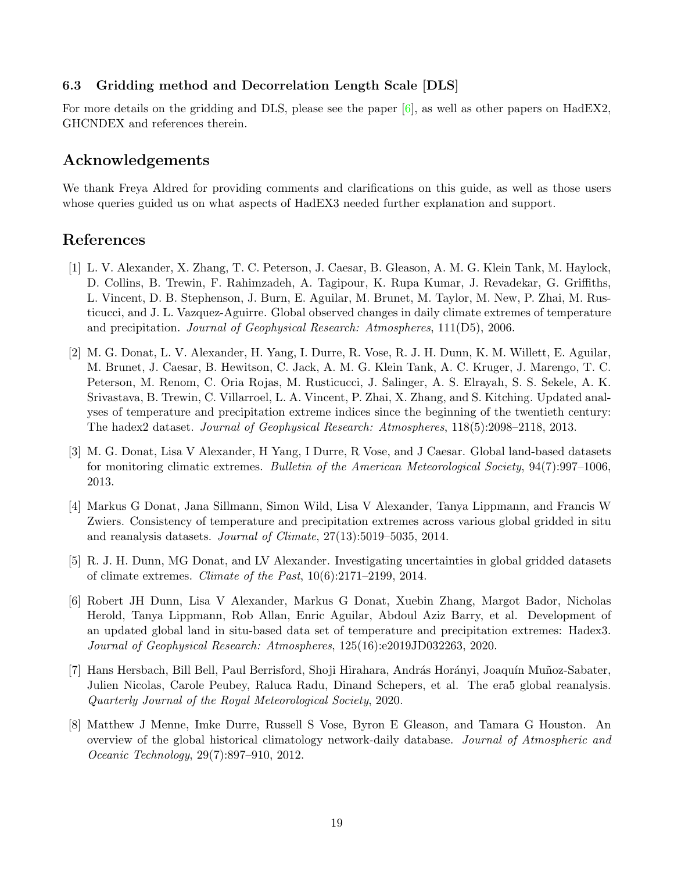## <span id="page-18-3"></span>6.3 Gridding method and Decorrelation Length Scale [DLS]

For more details on the gridding and DLS, please see the paper [\[6\]](#page-18-5), as well as other papers on HadEX2, GHCNDEX and references therein.

## Acknowledgements

We thank Freya Aldred for providing comments and clarifications on this guide, as well as those users whose queries guided us on what aspects of HadEX3 needed further explanation and support.

## <span id="page-18-4"></span>References

- <span id="page-18-6"></span>[1] L. V. Alexander, X. Zhang, T. C. Peterson, J. Caesar, B. Gleason, A. M. G. Klein Tank, M. Haylock, D. Collins, B. Trewin, F. Rahimzadeh, A. Tagipour, K. Rupa Kumar, J. Revadekar, G. Griffiths, L. Vincent, D. B. Stephenson, J. Burn, E. Aguilar, M. Brunet, M. Taylor, M. New, P. Zhai, M. Rusticucci, and J. L. Vazquez-Aguirre. Global observed changes in daily climate extremes of temperature and precipitation. Journal of Geophysical Research: Atmospheres, 111(D5), 2006.
- <span id="page-18-0"></span>[2] M. G. Donat, L. V. Alexander, H. Yang, I. Durre, R. Vose, R. J. H. Dunn, K. M. Willett, E. Aguilar, M. Brunet, J. Caesar, B. Hewitson, C. Jack, A. M. G. Klein Tank, A. C. Kruger, J. Marengo, T. C. Peterson, M. Renom, C. Oria Rojas, M. Rusticucci, J. Salinger, A. S. Elrayah, S. S. Sekele, A. K. Srivastava, B. Trewin, C. Villarroel, L. A. Vincent, P. Zhai, X. Zhang, and S. Kitching. Updated analyses of temperature and precipitation extreme indices since the beginning of the twentieth century: The hadex2 dataset. Journal of Geophysical Research: Atmospheres, 118(5):2098–2118, 2013.
- <span id="page-18-7"></span>[3] M. G. Donat, Lisa V Alexander, H Yang, I Durre, R Vose, and J Caesar. Global land-based datasets for monitoring climatic extremes. Bulletin of the American Meteorological Society, 94(7):997–1006, 2013.
- <span id="page-18-2"></span>[4] Markus G Donat, Jana Sillmann, Simon Wild, Lisa V Alexander, Tanya Lippmann, and Francis W Zwiers. Consistency of temperature and precipitation extremes across various global gridded in situ and reanalysis datasets. Journal of Climate, 27(13):5019–5035, 2014.
- <span id="page-18-1"></span>[5] R. J. H. Dunn, MG Donat, and LV Alexander. Investigating uncertainties in global gridded datasets of climate extremes. Climate of the Past, 10(6):2171–2199, 2014.
- <span id="page-18-5"></span>[6] Robert JH Dunn, Lisa V Alexander, Markus G Donat, Xuebin Zhang, Margot Bador, Nicholas Herold, Tanya Lippmann, Rob Allan, Enric Aguilar, Abdoul Aziz Barry, et al. Development of an updated global land in situ-based data set of temperature and precipitation extremes: Hadex3. Journal of Geophysical Research: Atmospheres, 125(16):e2019JD032263, 2020.
- <span id="page-18-9"></span>[7] Hans Hersbach, Bill Bell, Paul Berrisford, Shoji Hirahara, András Horányi, Joaquín Muñoz-Sabater, Julien Nicolas, Carole Peubey, Raluca Radu, Dinand Schepers, et al. The era5 global reanalysis. Quarterly Journal of the Royal Meteorological Society, 2020.
- <span id="page-18-8"></span>[8] Matthew J Menne, Imke Durre, Russell S Vose, Byron E Gleason, and Tamara G Houston. An overview of the global historical climatology network-daily database. Journal of Atmospheric and Oceanic Technology, 29(7):897–910, 2012.